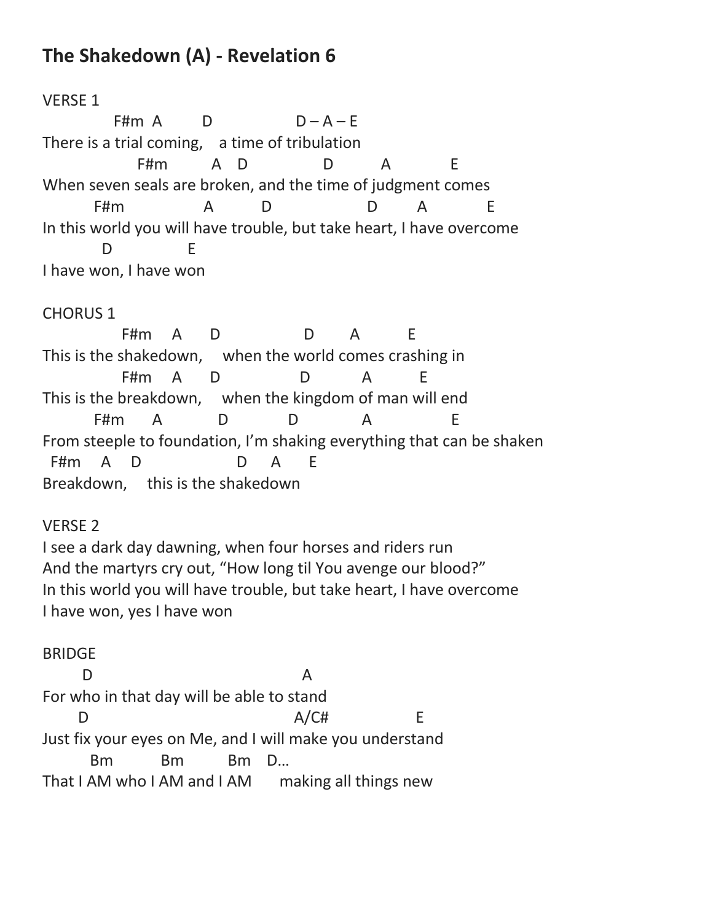## **The Shakedown (A) - Revelation 6**

## VERSE 1

F#m  $A$  D  $D - A - E$ There is a trial coming, a time of tribulation F#m A D D A E When seven seals are broken, and the time of judgment comes F#m A D D A E In this world you will have trouble, but take heart, I have overcome D E I have won, I have won

## CHORUS 1

F#m A D D A F This is the shakedown, when the world comes crashing in F#m A D D A E This is the breakdown, when the kingdom of man will end F#m A D D A E From steeple to foundation, I'm shaking everything that can be shaken F#m A D D A F Breakdown, this is the shakedown

## VERSE 2

I see a dark day dawning, when four horses and riders run And the martyrs cry out, "How long til You avenge our blood?" In this world you will have trouble, but take heart, I have overcome I have won, yes I have won

BRIDGE D A For who in that day will be able to stand D  $A/CH$  E Just fix your eyes on Me, and I will make you understand Bm Bm Bm D… That I AM who I AM and I AM making all things new